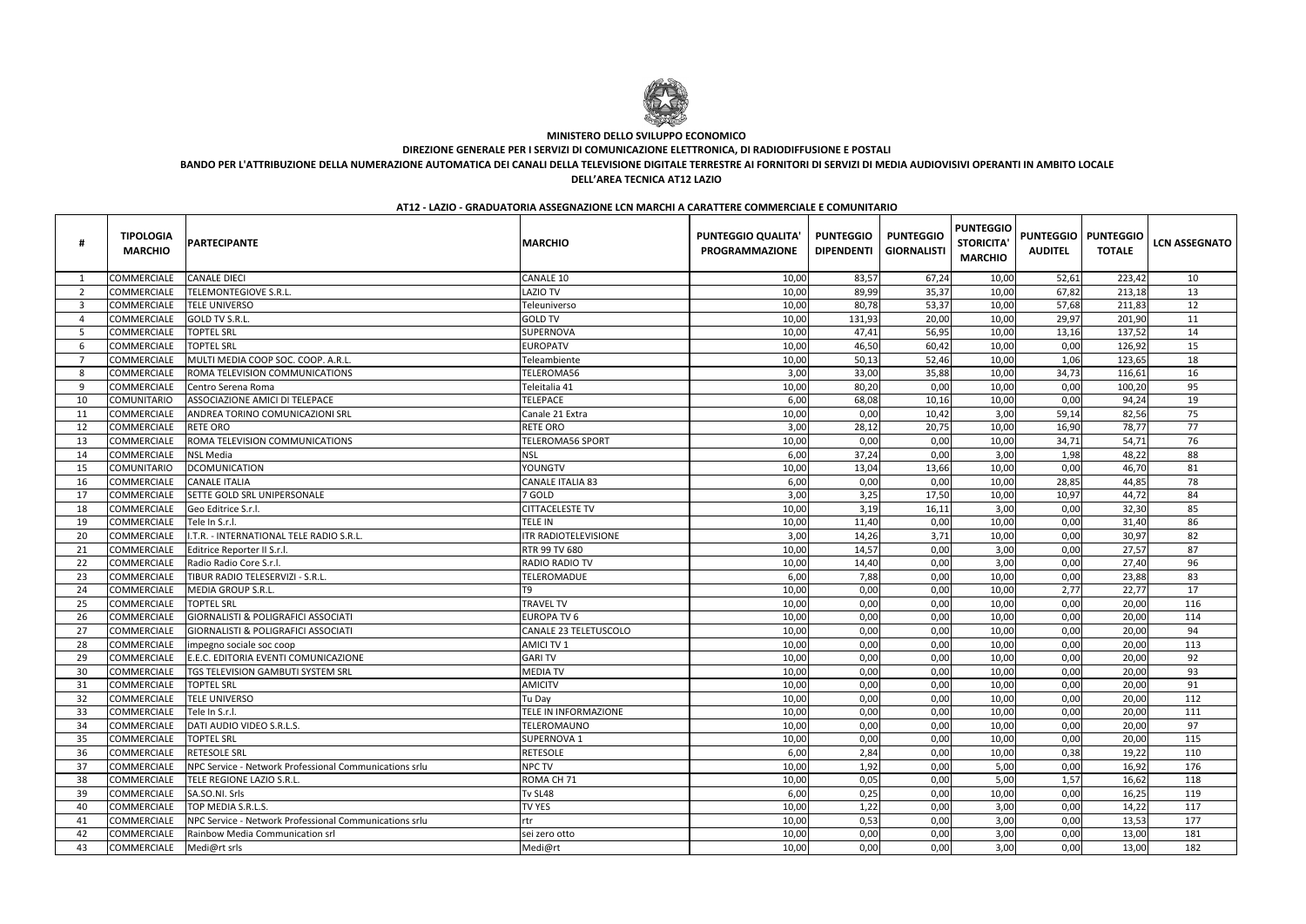| #                        | <b>TIPOLOGIA</b><br><b>MARCHIO</b> | <b>PARTECIPANTE</b>                                    | <b>MARCHIO</b>              | <b>PUNTEGGIO QUALITA'</b><br><b>PROGRAMMAZIONE</b> | <b>PUNTEGGIO</b><br><b>DIPENDENTI</b> | <b>PUNTEGGIO</b><br><b>GIORNALISTI</b> | <b>PUNTEGGIO</b><br><b>STORICITA</b><br><b>MARCHIO</b> | <b>PUNTEGGIO   PUNTEGGIO</b><br><b>AUDITEL</b> | <b>TOTALE</b> | <b>LCN ASSEGNATO</b> |
|--------------------------|------------------------------------|--------------------------------------------------------|-----------------------------|----------------------------------------------------|---------------------------------------|----------------------------------------|--------------------------------------------------------|------------------------------------------------|---------------|----------------------|
| $\overline{\phantom{0}}$ | COMMERCIALE                        | <b>CANALE DIECI</b>                                    | <b>CANALE 10</b>            | 10,00                                              | 83,57                                 | 67,24                                  | 10,00                                                  | 52,61                                          | 223,42        | 10                   |
| -2                       | <b>COMMERCIALE</b>                 | TELEMONTEGIOVE S.R.L.                                  | <b>LAZIO TV</b>             | 10,00                                              | 89,99                                 | 35,37                                  | 10,00                                                  | 67,82                                          | 213,18        | 13                   |
| -3                       | <b>COMMERCIALE</b>                 | <b>TELE UNIVERSO</b>                                   | Teleuniverso                | 10,00                                              | 80,78                                 | 53,37                                  | 10,00                                                  | 57,68                                          | 211,83        | 12                   |
| - 4                      | <b>COMMERCIALE</b>                 | GOLD TV S.R.L.                                         | <b>GOLD TV</b>              | 10,00                                              | 131,93                                | 20,00                                  | 10,00                                                  | 29,97                                          | 201,90        | 11                   |
| -5                       | <b>COMMERCIALE</b>                 | <b>TOPTEL SRL</b>                                      | SUPERNOVA                   | 10,00                                              | 47,41                                 | 56,95                                  | 10,00                                                  | 13,16                                          | 137,52        | 14                   |
| -6                       | <b>COMMERCIALE</b>                 | <b>TOPTEL SRL</b>                                      | <b>EUROPATV</b>             | 10,00                                              | 46,50                                 | 60,42                                  | 10,00                                                  | 0,00                                           | 126,92        | 15                   |
| -7                       | <b>COMMERCIALE</b>                 | MULTI MEDIA COOP SOC. COOP. A.R.L.                     | Teleambiente                | 10,00                                              | 50,13                                 | 52,46                                  | 10,00                                                  | 1,06                                           | 123,65        | 18                   |
| 8                        | <b>COMMERCIALE</b>                 | <b>ROMA TELEVISION COMMUNICATIONS</b>                  | TELEROMA56                  | 3,00                                               | 33,00                                 | 35,88                                  | 10,00                                                  | 34,73                                          | 116,61        | 16                   |
| 9                        | <b>COMMERCIALE</b>                 | Centro Serena Roma                                     | Teleitalia 41               | 10,00                                              | 80,20                                 | 0,00                                   | 10,00                                                  | 0,00                                           | 100,20        | 95                   |
| -10                      | <b>COMUNITARIO</b>                 | ASSOCIAZIONE AMICI DI TELEPACE                         | <b>TELEPACE</b>             | 6,00                                               | 68,08                                 | 10,16                                  | 10,00                                                  | 0,00                                           | 94,24         | 19                   |
| -11                      | <b>COMMERCIALE</b>                 | ANDREA TORINO COMUNICAZIONI SRL                        | Canale 21 Extra             | 10,00                                              | 0,00                                  | 10,42                                  | 3,00                                                   | 59,14                                          | 82,56         | 75                   |
| 12                       | <b>COMMERCIALE</b>                 | <b>RETE ORO</b>                                        | <b>RETE ORO</b>             | 3,00                                               | 28,12                                 | 20,75                                  | 10,00                                                  | 16,90                                          | 78,77         | 77                   |
| 13                       | <b>COMMERCIALE</b>                 | ROMA TELEVISION COMMUNICATIONS                         | <b>TELEROMA56 SPORT</b>     | 10,00                                              | 0,00                                  | 0,00                                   | 10,00                                                  | 34,71                                          | 54,71         | 76                   |
| 14                       | <b>COMMERCIALE</b>                 | <b>NSL Media</b>                                       | <b>NSL</b>                  | 6,00                                               | 37,24                                 | 0,00                                   | 3,00                                                   | 1,98                                           | 48,22         | 88                   |
| 15                       | <b>COMUNITARIO</b>                 | <b>DCOMUNICATION</b>                                   | YOUNGTV                     | 10,00                                              | 13,04                                 | 13,66                                  | 10,00                                                  | 0,00                                           | 46,70         | 81                   |
| 16                       | <b>COMMERCIALE</b>                 | <b>CANALE ITALIA</b>                                   | <b>CANALE ITALIA 83</b>     | 6,00                                               | 0,00                                  | 0,00                                   | 10,00                                                  | 28,85                                          | 44,85         | 78                   |
| 17                       | COMMERCIALE                        | SETTE GOLD SRL UNIPERSONALE                            | 7 GOLD                      | 3,00                                               | 3,25                                  | 17,50                                  | 10,00                                                  | 10,97                                          | 44,72         | 84                   |
| 18                       | COMMERCIALE                        | Geo Editrice S.r.l.                                    | CITTACELESTE TV             | 10,00                                              | 3,19                                  | 16,11                                  | 3,00                                                   | 0,00                                           | 32,30         | 85                   |
| 19                       | <b>COMMERCIALE</b>                 | Tele In S.r.l.                                         | TELE IN                     | 10,00                                              | 11,40                                 | 0,00                                   | 10,00                                                  | 0,00                                           | 31,40         | 86                   |
| 20                       | <b>COMMERCIALE</b>                 | I.T.R. - INTERNATIONAL TELE RADIO S.R.L.               | <b>ITR RADIOTELEVISIONE</b> | 3,00                                               | 14,26                                 | 3,71                                   | 10,00                                                  | 0,00                                           | 30,97         | 82                   |
| -21                      | <b>COMMERCIALE</b>                 | Editrice Reporter II S.r.l.                            | RTR 99 TV 680               | 10,00                                              | 14,57                                 | 0,00                                   | 3,00                                                   | 0,00                                           | 27,57         | 87                   |
| 22                       | <b>COMMERCIALE</b>                 | Radio Radio Core S.r.l.                                | RADIO RADIO TV              | 10,00                                              | 14,40                                 | 0,00                                   | 3,00                                                   | 0,00                                           | 27,40         | 96                   |
| 23                       | <b>COMMERCIALE</b>                 | TIBUR RADIO TELESERVIZI - S.R.L.                       | TELEROMADUE                 | 6,00                                               | 7,88                                  | 0,00                                   | 10,00                                                  | 0,00                                           | 23,88         | 83                   |
| 24                       | COMMERCIALE                        | MEDIA GROUP S.R.L.                                     | T9.                         | 10,00                                              | 0,00                                  | 0,00                                   | 10,00                                                  | 2,77                                           | 22,77         | 17                   |
| -25                      | <b>COMMERCIALE</b>                 | <b>TOPTEL SRL</b>                                      | <b>TRAVEL TV</b>            | 10,00                                              | 0,00                                  | 0,00                                   | 10,00                                                  | 0,00                                           | 20,00         | 116                  |
| -26                      | <b>COMMERCIALE</b>                 | <b>GIORNALISTI &amp; POLIGRAFICI ASSOCIATI</b>         | <b>EUROPA TV 6</b>          | 10,00                                              | 0,00                                  | 0,00                                   | 10,00                                                  | 0,00                                           | 20,00         | 114                  |
| 27                       | <b>COMMERCIALE</b>                 | <b>GIORNALISTI &amp; POLIGRAFICI ASSOCIATI</b>         | CANALE 23 TELETUSCOLO       | 10,00                                              | 0,00                                  | 0,00                                   | 10,00                                                  | 0,00                                           | 20,00         | 94                   |
| 28                       | <b>COMMERCIALE</b>                 | impegno sociale soc coop                               | <b>AMICI TV1</b>            | 10,00                                              | 0,00                                  | 0,00                                   | 10,00                                                  | 0,00                                           | 20,00         | 113                  |
| 29                       | <b>COMMERCIALE</b>                 | E.E.C. EDITORIA EVENTI COMUNICAZIONE                   | <b>GARI TV</b>              | 10,00                                              | 0,00                                  | 0,00                                   | 10,00                                                  | 0,00                                           | 20,00         | 92                   |
| 30                       | <b>COMMERCIALE</b>                 | <b>TGS TELEVISION GAMBUTI SYSTEM SRL</b>               | <b>MEDIA TV</b>             | 10,00                                              | 0,00                                  | 0,00                                   | 10,00                                                  | 0,00                                           | 20,00         | 93                   |
| -31                      | <b>COMMERCIALE</b>                 | <b>TOPTEL SRL</b>                                      | <b>AMICITV</b>              | 10,00                                              | 0,00                                  | 0,00                                   | 10,00                                                  | 0,00                                           | 20,00         | 91                   |
| 32                       | <b>COMMERCIALE</b>                 | <b>TELE UNIVERSO</b>                                   | Tu Day                      | 10,00                                              | 0,00                                  | 0,00                                   | 10,00                                                  | 0,00                                           | 20,00         | 112                  |
| 33                       | COMMERCIALE Tele In S.r.l.         |                                                        | <b>TELE IN INFORMAZIONE</b> | 10,00                                              | 0,00                                  | 0,00                                   | 10,00                                                  | 0,00                                           | 20,00         | 111                  |
| -34                      | COMMERCIALE                        | DATI AUDIO VIDEO S.R.L.S.                              | TELEROMAUNO                 | 10,00                                              | 0,00                                  | 0,00                                   | 10,00                                                  | 0,00                                           | 20,00         | 97                   |
| -35                      | COMMERCIALE                        | <b>TOPTEL SRL</b>                                      | SUPERNOVA 1                 | 10,00                                              | 0,00                                  | 0,00                                   | 10,00                                                  | 0,00                                           | 20,00         | 115                  |
| -36                      | COMMERCIALE                        | <b>RETESOLE SRL</b>                                    | <b>RETESOLE</b>             | 6,00                                               | 2,84                                  | 0,00                                   | 10,00                                                  | 0,38                                           | 19,22         | 110                  |
| 37                       | <b>COMMERCIALE</b>                 | NPC Service - Network Professional Communications srlu | NPC TV                      | 10,00                                              | 1,92                                  | 0,00                                   | 5,00                                                   | 0,00                                           | 16,92         | 176                  |
| 38                       | <b>COMMERCIALE</b>                 | TELE REGIONE LAZIO S.R.L.                              | ROMA CH 71                  | 10,00                                              | 0,05                                  | 0,00                                   | 5,00                                                   | 1,57                                           | 16,62         | 118                  |
| 39                       | <b>COMMERCIALE</b>                 | SA.SO.NI. Srls                                         | Tv SL48                     | 6,00                                               | 0,25                                  | 0,00                                   | 10,00                                                  | 0,00                                           | 16,25         | 119                  |
| -40                      | <b>COMMERCIALE</b>                 | TOP MEDIA S.R.L.S.                                     | TV YES                      | 10,00                                              | 1,22                                  | 0,00                                   | 3,00                                                   | 0,00                                           | 14,22         | 117                  |
| -41                      | <b>COMMERCIALE</b>                 | NPC Service - Network Professional Communications srlu | rtr                         | 10,00                                              | 0,53                                  | 0,00                                   | 3,00                                                   | 0,00                                           | 13,53         | 177                  |
| 42                       | <b>COMMERCIALE</b>                 | Rainbow Media Communication srl                        | sei zero otto               | 10,00                                              | 0,00                                  | 0,00                                   | 3,00                                                   | 0,00                                           | 13,00         | 181                  |
| 43                       | COMMERCIALE                        | Medi@rt srls                                           | Medi@rt                     | 10,00                                              | 0,00                                  | 0,00                                   | 3,00                                                   | 0,00                                           | 13,00         | 182                  |



### **MINISTERO DELLO SVILUPPO ECONOMICO**

**DIREZIONE GENERALE PER I SERVIZI DI COMUNICAZIONE ELETTRONICA, DI RADIODIFFUSIONE E POSTALI**

**BANDO PER L'ATTRIBUZIONE DELLA NUMERAZIONE AUTOMATICA DEI CANALI DELLA TELEVISIONE DIGITALE TERRESTRE AI FORNITORI DI SERVIZI DI MEDIA AUDIOVISIVI OPERANTI IN AMBITO LOCALE**

# **DELL'AREA TECNICA AT12 LAZIO**

### **AT12 - LAZIO - GRADUATORIA ASSEGNAZIONE LCN MARCHI A CARATTERE COMMERCIALE E COMUNITARIO**